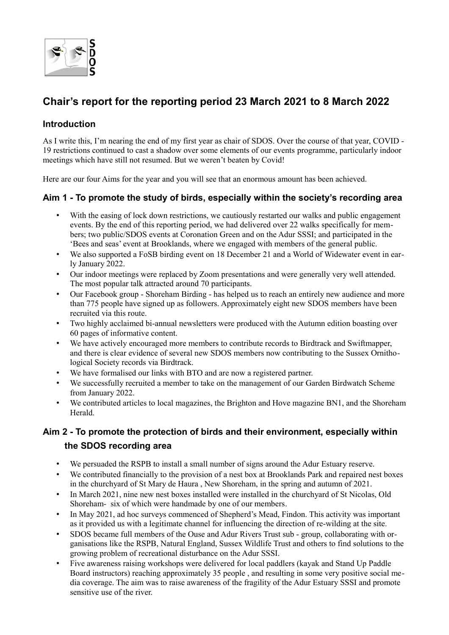

# **Chair's report for the reporting period 23 March 2021 to 8 March 2022**

## **Introduction**

As I write this, I'm nearing the end of my first year as chair of SDOS. Over the course of that year, COVID - 19 restrictions continued to cast a shadow over some elements of our events programme, particularly indoor meetings which have still not resumed. But we weren't beaten by Covid!

Here are our four Aims for the year and you will see that an enormous amount has been achieved.

### **Aim 1 - To promote the study of birds, especially within the society's recording area**

- With the easing of lock down restrictions, we cautiously restarted our walks and public engagement events. By the end of this reporting period, we had delivered over 22 walks specifically for members; two public/SDOS events at Coronation Green and on the Adur SSSI; and participated in the 'Bees and seas' event at Brooklands, where we engaged with members of the general public.
- We also supported a FoSB birding event on 18 December 21 and a World of Widewater event in early January 2022.
- Our indoor meetings were replaced by Zoom presentations and were generally very well attended. The most popular talk attracted around 70 participants.
- Our Facebook group Shoreham Birding has helped us to reach an entirely new audience and more than 775 people have signed up as followers. Approximately eight new SDOS members have been recruited via this route.
- Two highly acclaimed bi-annual newsletters were produced with the Autumn edition boasting over 60 pages of informative content.
- We have actively encouraged more members to contribute records to Birdtrack and Swiftmapper, and there is clear evidence of several new SDOS members now contributing to the Sussex Ornithological Society records via Birdtrack.
- We have formalised our links with BTO and are now a registered partner.
- We successfully recruited a member to take on the management of our Garden Birdwatch Scheme from January 2022.
- We contributed articles to local magazines, the Brighton and Hove magazine BN1, and the Shoreham Herald.

# **Aim 2 - To promote the protection of birds and their environment, especially within the SDOS recording area**

- We persuaded the RSPB to install a small number of signs around the Adur Estuary reserve.
- We contributed financially to the provision of a nest box at Brooklands Park and repaired nest boxes in the churchyard of St Mary de Haura , New Shoreham, in the spring and autumn of 2021.
- In March 2021, nine new nest boxes installed were installed in the churchyard of St Nicolas, Old Shoreham- six of which were handmade by one of our members.
- In May 2021, ad hoc surveys commenced of Shepherd's Mead, Findon. This activity was important as it provided us with a legitimate channel for influencing the direction of re-wilding at the site.
- SDOS became full members of the Ouse and Adur Rivers Trust sub group, collaborating with organisations like the RSPB, Natural England, Sussex Wildlife Trust and others to find solutions to the growing problem of recreational disturbance on the Adur SSSI.
- Five awareness raising workshops were delivered for local paddlers (kayak and Stand Up Paddle Board instructors) reaching approximately 35 people , and resulting in some very positive social media coverage. The aim was to raise awareness of the fragility of the Adur Estuary SSSI and promote sensitive use of the river.